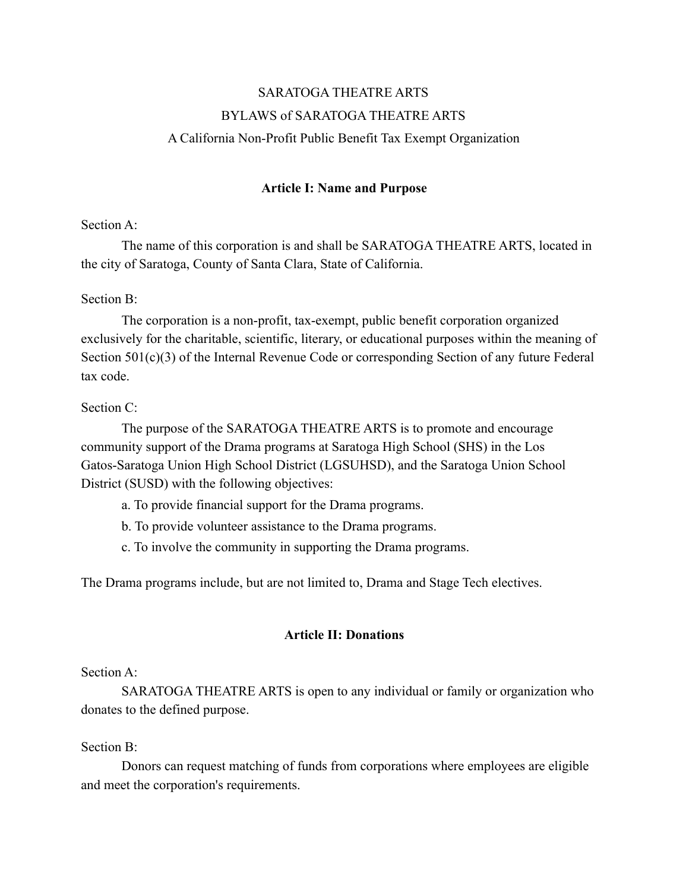# SARATOGA THEATRE ARTS BYLAWS of SARATOGA THEATRE ARTS A California Non-Profit Public Benefit Tax Exempt Organization

### **Article I: Name and Purpose**

### Section A:

The name of this corporation is and shall be SARATOGA THEATRE ARTS, located in the city of Saratoga, County of Santa Clara, State of California.

### Section B:

The corporation is a non-profit, tax-exempt, public benefit corporation organized exclusively for the charitable, scientific, literary, or educational purposes within the meaning of Section 501(c)(3) of the Internal Revenue Code or corresponding Section of any future Federal tax code.

### Section C:

The purpose of the SARATOGA THEATRE ARTS is to promote and encourage community support of the Drama programs at Saratoga High School (SHS) in the Los Gatos-Saratoga Union High School District (LGSUHSD), and the Saratoga Union School District (SUSD) with the following objectives:

- a. To provide financial support for the Drama programs.
- b. To provide volunteer assistance to the Drama programs.
- c. To involve the community in supporting the Drama programs.

The Drama programs include, but are not limited to, Drama and Stage Tech electives.

### **Article II: Donations**

#### Section A:

SARATOGA THEATRE ARTS is open to any individual or family or organization who donates to the defined purpose.

### Section B:

Donors can request matching of funds from corporations where employees are eligible and meet the corporation's requirements.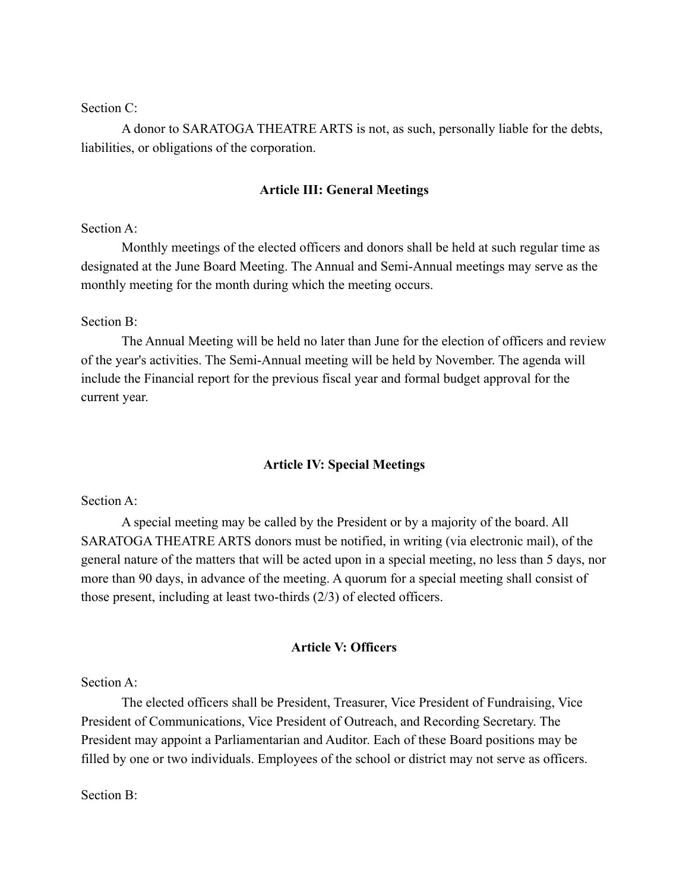Section C<sup>.</sup>

A donor to SARATOGA THEATRE ARTS is not, as such, personally liable for the debts, liabilities, or obligations of the corporation.

#### **Article III: General Meetings**

#### Section A:

Monthly meetings of the elected officers and donors shall be held at such regular time as designated at the June Board Meeting. The Annual and Semi-Annual meetings may serve as the monthly meeting for the month during which the meeting occurs.

#### Section B:

The Annual Meeting will be held no later than June for the election of officers and review of the year's activities. The Semi-Annual meeting will be held by November. The agenda will include the Financial report for the previous fiscal year and formal budget approval for the current year.

#### **Article IV: Special Meetings**

#### Section A:

A special meeting may be called by the President or by a majority of the board. All SARATOGA THEATRE ARTS donors must be notified, in writing (via electronic mail), of the general nature of the matters that will be acted upon in a special meeting, no less than 5 days, nor more than 90 days, in advance of the meeting. A quorum for a special meeting shall consist of those present, including at least two-thirds (2/3) of elected officers.

### **Article V: Officers**

Section A:

The elected officers shall be President, Treasurer, Vice President of Fundraising, Vice President of Communications, Vice President of Outreach, and Recording Secretary. The President may appoint a Parliamentarian and Auditor. Each of these Board positions may be filled by one or two individuals. Employees of the school or district may not serve as officers.

Section B: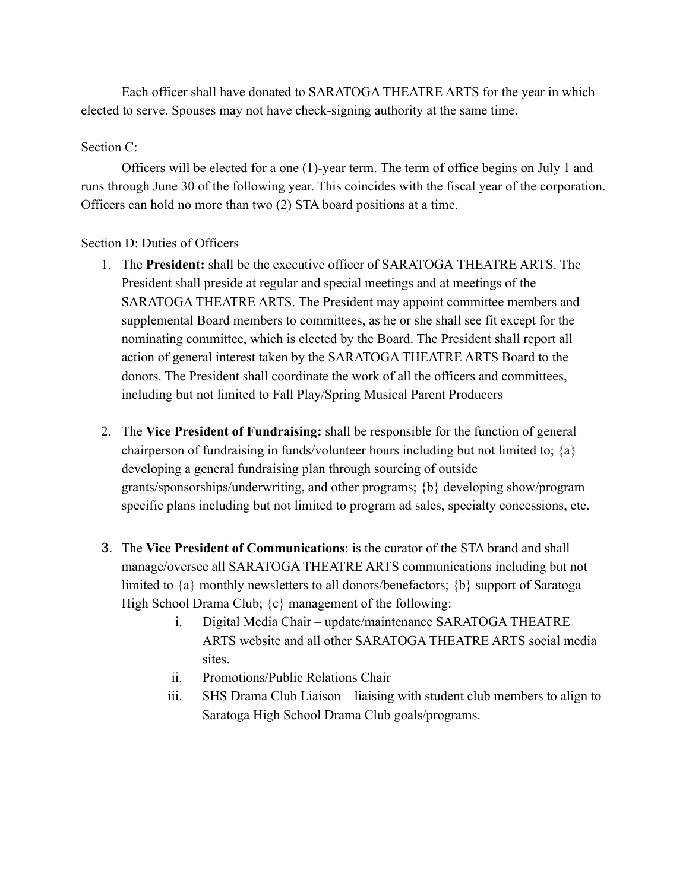Each officer shall have donated to SARATOGA THEATRE ARTS for the year in which elected to serve. Spouses may not have check-signing authority at the same time.

### Section C:

Officers will be elected for a one (1)-year term. The term of office begins on July 1 and runs through June 30 of the following year. This coincides with the fiscal year of the corporation. Officers can hold no more than two (2) STA board positions at a time.

### Section D: Duties of Officers

- 1. The **President:** shall be the executive officer of SARATOGA THEATRE ARTS. The President shall preside at regular and special meetings and at meetings of the SARATOGA THEATRE ARTS. The President may appoint committee members and supplemental Board members to committees, as he or she shall see fit except for the nominating committee, which is elected by the Board. The President shall report all action of general interest taken by the SARATOGA THEATRE ARTS Board to the donors. The President shall coordinate the work of all the officers and committees, including but not limited to Fall Play/Spring Musical Parent Producers
- 2. The **Vice President of Fundraising:** shall be responsible for the function of general chairperson of fundraising in funds/volunteer hours including but not limited to; {a} developing a general fundraising plan through sourcing of outside grants/sponsorships/underwriting, and other programs; {b} developing show/program specific plans including but not limited to program ad sales, specialty concessions, etc.
- 3. The **Vice President of Communications**: is the curator of the STA brand and shall manage/oversee all SARATOGA THEATRE ARTS communications including but not limited to {a} monthly newsletters to all donors/benefactors; {b} support of Saratoga High School Drama Club;  $\{c\}$  management of the following:
	- i. Digital Media Chair update/maintenance SARATOGA THEATRE ARTS website and all other SARATOGA THEATRE ARTS social media sites.
	- ii. Promotions/Public Relations Chair
	- iii. SHS Drama Club Liaison liaising with student club members to align to Saratoga High School Drama Club goals/programs.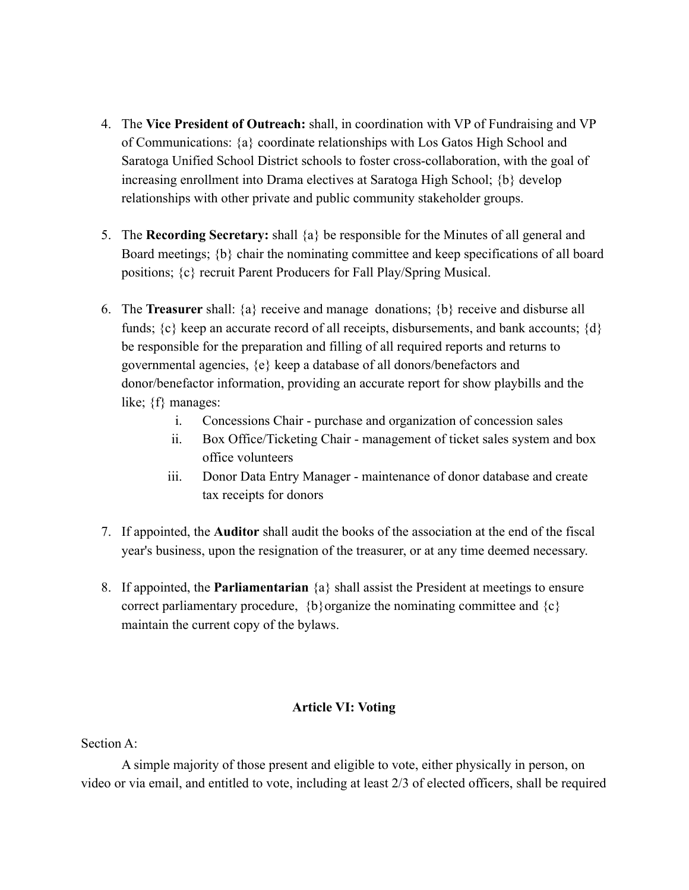- 4. The **Vice President of Outreach:** shall, in coordination with VP of Fundraising and VP of Communications: {a} coordinate relationships with Los Gatos High School and Saratoga Unified School District schools to foster cross-collaboration, with the goal of increasing enrollment into Drama electives at Saratoga High School; {b} develop relationships with other private and public community stakeholder groups.
- 5. The **Recording Secretary:** shall {a} be responsible for the Minutes of all general and Board meetings; {b} chair the nominating committee and keep specifications of all board positions; {c} recruit Parent Producers for Fall Play/Spring Musical.
- 6. The **Treasurer** shall: {a} receive and manage donations; {b} receive and disburse all funds;  $\{c\}$  keep an accurate record of all receipts, disbursements, and bank accounts;  $\{d\}$ be responsible for the preparation and filling of all required reports and returns to governmental agencies, {e} keep a database of all donors/benefactors and donor/benefactor information, providing an accurate report for show playbills and the like; {f} manages:
	- i. Concessions Chair purchase and organization of concession sales
	- ii. Box Office/Ticketing Chair management of ticket sales system and box office volunteers
	- iii. Donor Data Entry Manager maintenance of donor database and create tax receipts for donors
- 7. If appointed, the **Auditor** shall audit the books of the association at the end of the fiscal year's business, upon the resignation of the treasurer, or at any time deemed necessary.
- 8. If appointed, the **Parliamentarian** {a} shall assist the President at meetings to ensure correct parliamentary procedure,  ${b}$  organize the nominating committee and  ${c}$ maintain the current copy of the bylaws.

## **Article VI: Voting**

Section A:

A simple majority of those present and eligible to vote, either physically in person, on video or via email, and entitled to vote, including at least 2/3 of elected officers, shall be required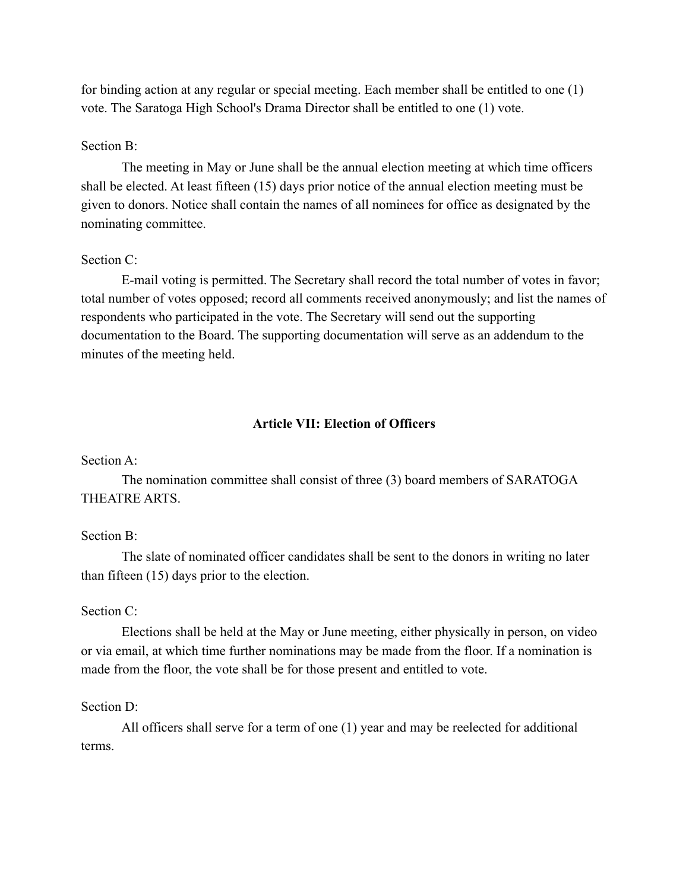for binding action at any regular or special meeting. Each member shall be entitled to one (1) vote. The Saratoga High School's Drama Director shall be entitled to one (1) vote.

#### Section B:

The meeting in May or June shall be the annual election meeting at which time officers shall be elected. At least fifteen (15) days prior notice of the annual election meeting must be given to donors. Notice shall contain the names of all nominees for office as designated by the nominating committee.

### Section C:

E-mail voting is permitted. The Secretary shall record the total number of votes in favor; total number of votes opposed; record all comments received anonymously; and list the names of respondents who participated in the vote. The Secretary will send out the supporting documentation to the Board. The supporting documentation will serve as an addendum to the minutes of the meeting held.

#### **Article VII: Election of Officers**

#### Section A:

The nomination committee shall consist of three (3) board members of SARATOGA THEATRE ARTS.

#### Section B:

The slate of nominated officer candidates shall be sent to the donors in writing no later than fifteen (15) days prior to the election.

#### Section C:

Elections shall be held at the May or June meeting, either physically in person, on video or via email, at which time further nominations may be made from the floor. If a nomination is made from the floor, the vote shall be for those present and entitled to vote.

#### Section D<sup>.</sup>

All officers shall serve for a term of one (1) year and may be reelected for additional terms.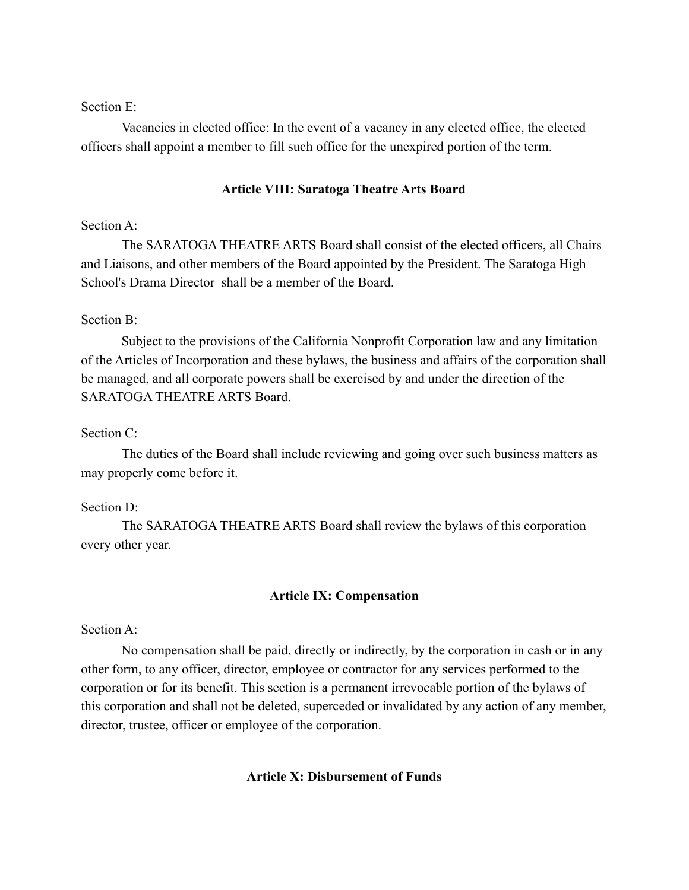### Section E:

Vacancies in elected office: In the event of a vacancy in any elected office, the elected officers shall appoint a member to fill such office for the unexpired portion of the term.

#### **Article VIII: Saratoga Theatre Arts Board**

### Section A:

The SARATOGA THEATRE ARTS Board shall consist of the elected officers, all Chairs and Liaisons, and other members of the Board appointed by the President. The Saratoga High School's Drama Director shall be a member of the Board.

#### Section B:

Subject to the provisions of the California Nonprofit Corporation law and any limitation of the Articles of Incorporation and these bylaws, the business and affairs of the corporation shall be managed, and all corporate powers shall be exercised by and under the direction of the SARATOGA THEATRE ARTS Board.

### Section C:

The duties of the Board shall include reviewing and going over such business matters as may properly come before it.

#### Section D:

The SARATOGA THEATRE ARTS Board shall review the bylaws of this corporation every other year.

#### **Article IX: Compensation**

#### Section A:

No compensation shall be paid, directly or indirectly, by the corporation in cash or in any other form, to any officer, director, employee or contractor for any services performed to the corporation or for its benefit. This section is a permanent irrevocable portion of the bylaws of this corporation and shall not be deleted, superceded or invalidated by any action of any member, director, trustee, officer or employee of the corporation.

### **Article X: Disbursement of Funds**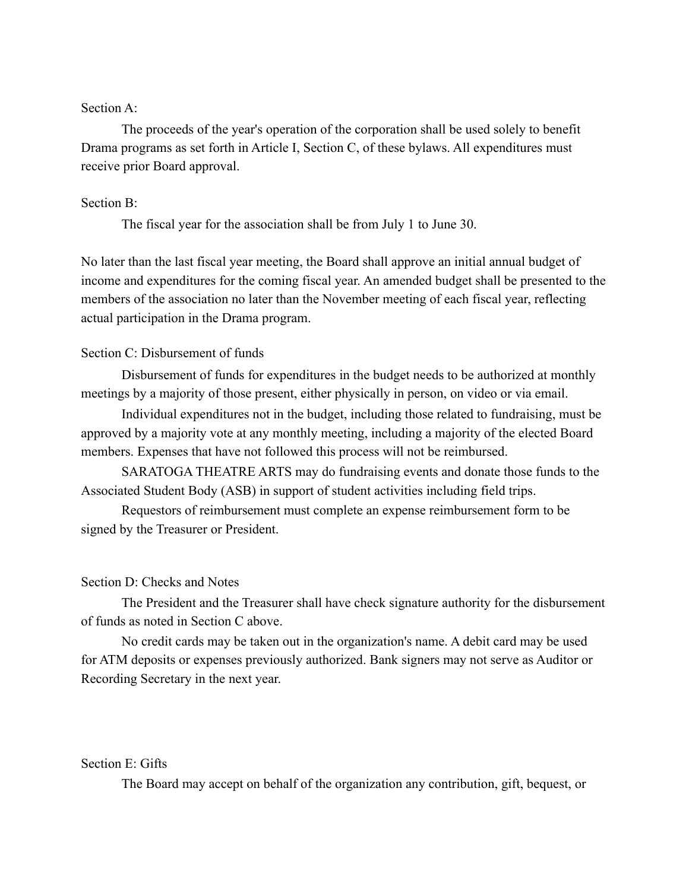### Section A:

The proceeds of the year's operation of the corporation shall be used solely to benefit Drama programs as set forth in Article I, Section C, of these bylaws. All expenditures must receive prior Board approval.

#### Section B:

The fiscal year for the association shall be from July 1 to June 30.

No later than the last fiscal year meeting, the Board shall approve an initial annual budget of income and expenditures for the coming fiscal year. An amended budget shall be presented to the members of the association no later than the November meeting of each fiscal year, reflecting actual participation in the Drama program.

### Section C: Disbursement of funds

Disbursement of funds for expenditures in the budget needs to be authorized at monthly meetings by a majority of those present, either physically in person, on video or via email.

Individual expenditures not in the budget, including those related to fundraising, must be approved by a majority vote at any monthly meeting, including a majority of the elected Board members. Expenses that have not followed this process will not be reimbursed.

SARATOGA THEATRE ARTS may do fundraising events and donate those funds to the Associated Student Body (ASB) in support of student activities including field trips.

Requestors of reimbursement must complete an expense reimbursement form to be signed by the Treasurer or President.

#### Section D: Checks and Notes

The President and the Treasurer shall have check signature authority for the disbursement of funds as noted in Section C above.

No credit cards may be taken out in the organization's name. A debit card may be used for ATM deposits or expenses previously authorized. Bank signers may not serve as Auditor or Recording Secretary in the next year.

#### Section E: Gifts

The Board may accept on behalf of the organization any contribution, gift, bequest, or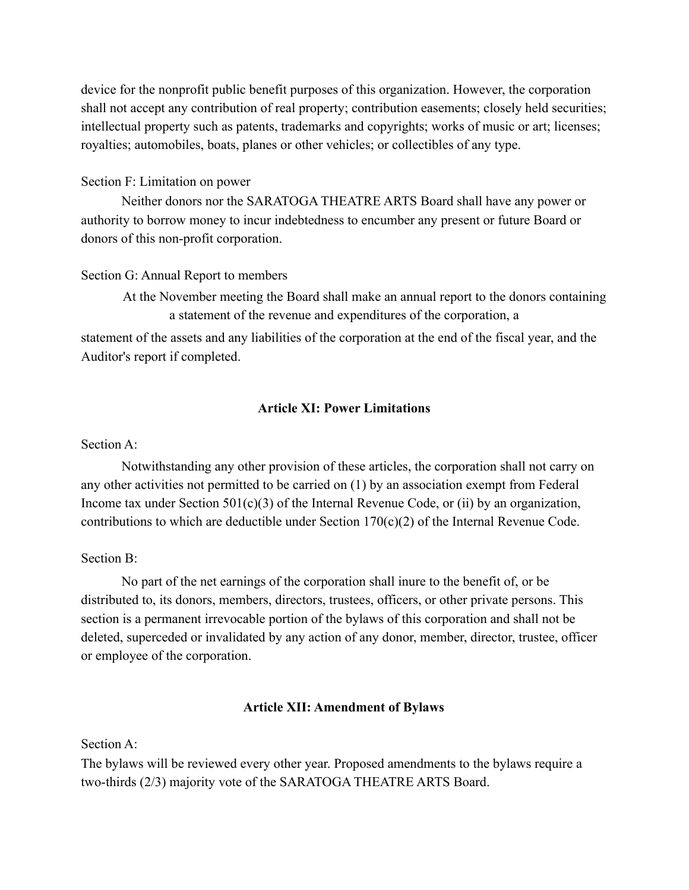device for the nonprofit public benefit purposes of this organization. However, the corporation shall not accept any contribution of real property; contribution easements; closely held securities; intellectual property such as patents, trademarks and copyrights; works of music or art; licenses; royalties; automobiles, boats, planes or other vehicles; or collectibles of any type.

### Section F: Limitation on power

Neither donors nor the SARATOGA THEATRE ARTS Board shall have any power or authority to borrow money to incur indebtedness to encumber any present or future Board or donors of this non-profit corporation.

### Section G: Annual Report to members

At the November meeting the Board shall make an annual report to the donors containing a statement of the revenue and expenditures of the corporation, a

statement of the assets and any liabilities of the corporation at the end of the fiscal year, and the Auditor's report if completed.

### **Article XI: Power Limitations**

### Section A:

Notwithstanding any other provision of these articles, the corporation shall not carry on any other activities not permitted to be carried on (1) by an association exempt from Federal Income tax under Section  $501(c)(3)$  of the Internal Revenue Code, or (ii) by an organization, contributions to which are deductible under Section  $170(c)(2)$  of the Internal Revenue Code.

### Section B:

No part of the net earnings of the corporation shall inure to the benefit of, or be distributed to, its donors, members, directors, trustees, officers, or other private persons. This section is a permanent irrevocable portion of the bylaws of this corporation and shall not be deleted, superceded or invalidated by any action of any donor, member, director, trustee, officer or employee of the corporation.

### **Article XII: Amendment of Bylaws**

Section A:

The bylaws will be reviewed every other year. Proposed amendments to the bylaws require a two-thirds (2/3) majority vote of the SARATOGA THEATRE ARTS Board.